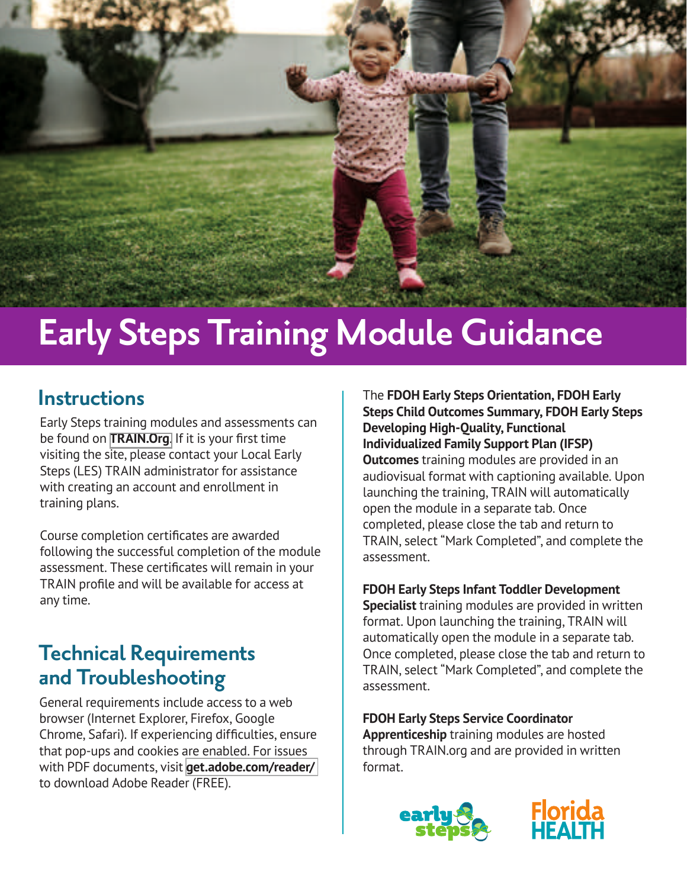

# **Early Steps Training Module Guidance**

## **Instructions**

Early Steps training modules and assessments can be found on **[TRAIN.Org](https://www.train.org/florida/welcome)**. If it is your first time visiting the site, please contact your Local Early Steps (LES) TRAIN administrator for assistance with creating an account and enrollment in training plans.

Course completion certificates are awarded following the successful completion of the module assessment. These certificates will remain in your TRAIN profile and will be available for access at any time.

## **Technical Requirements and Troubleshooting**

General requirements include access to a web browser (Internet Explorer, Firefox, Google Chrome, Safari). If experiencing difficulties, ensure that pop-ups and cookies are enabled. For issues with PDF documents, visit **[get.adobe.com/reader/](https://get.adobe.com/reader/)** to download Adobe Reader (FREE).

The **FDOH Early Steps Orientation, FDOH Early [Steps Child Outcomes Summary, FDOH Early Steps](https://www.train.org/florida/training_plan/4967?web=1&wdLOR=c9CD2FCBC-7CFF-8644-8803-B4CB753A9AAE)  Developing High-Quality, Functional Individualized Family Support Plan (IFSP) Outcomes** training modules are provided in an audiovisual format with captioning available. Upon launching the training, TRAIN will automatically open the module in a separate tab. Once completed, please close the tab and return to TRAIN, select "Mark Completed", and complete the assessment.

#### **[FDOH Early Steps Infant Toddler Development](https://www.train.org/florida/training_plan/4970?web=1&wdLOR=cCE76DEA4-C5BD-9848-A26F-6E56C9C2B87A)**

**Specialist** training modules are provided in written format. Upon launching the training, TRAIN will automatically open the module in a separate tab. Once completed, please close the tab and return to TRAIN, select "Mark Completed", and complete the assessment.

**[FDOH Early Steps Service Coordinator](https://www.train.org/florida/training_plan/4067?web=1&wdLOR=c4BE15887-9230-EE4D-A337-D0B6CCC5CCE6)  Apprenticeship** training modules are hosted through TRAIN.org and are provided in written format.